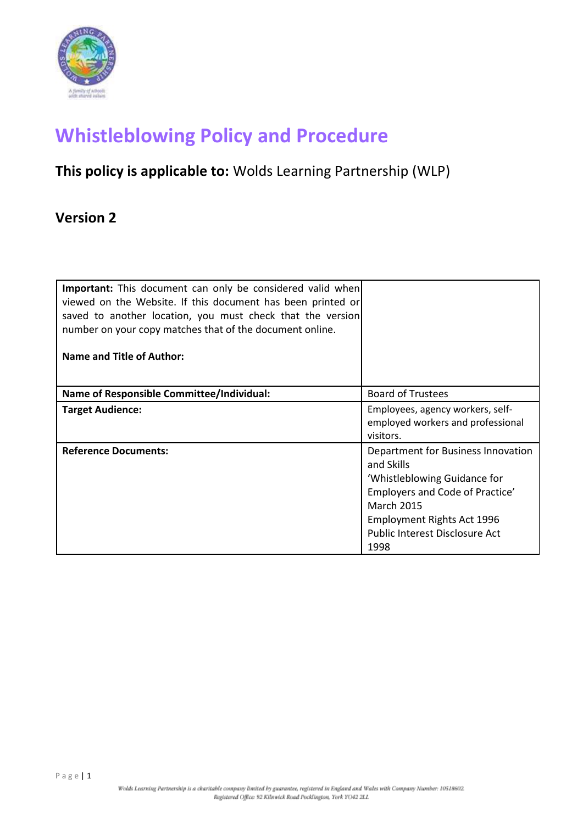

# **Whistleblowing Policy and Procedure**

## **This policy is applicable to:** Wolds Learning Partnership (WLP)

### **Version 2**

| Important: This document can only be considered valid when<br>viewed on the Website. If this document has been printed or<br>saved to another location, you must check that the version<br>number on your copy matches that of the document online.<br><b>Name and Title of Author:</b> |                                                                                                                                                                                                                  |
|-----------------------------------------------------------------------------------------------------------------------------------------------------------------------------------------------------------------------------------------------------------------------------------------|------------------------------------------------------------------------------------------------------------------------------------------------------------------------------------------------------------------|
| <b>Name of Responsible Committee/Individual:</b>                                                                                                                                                                                                                                        | <b>Board of Trustees</b>                                                                                                                                                                                         |
| <b>Target Audience:</b>                                                                                                                                                                                                                                                                 | Employees, agency workers, self-<br>employed workers and professional<br>visitors.                                                                                                                               |
| <b>Reference Documents:</b>                                                                                                                                                                                                                                                             | Department for Business Innovation<br>and Skills<br>'Whistleblowing Guidance for<br>Employers and Code of Practice'<br><b>March 2015</b><br>Employment Rights Act 1996<br>Public Interest Disclosure Act<br>1998 |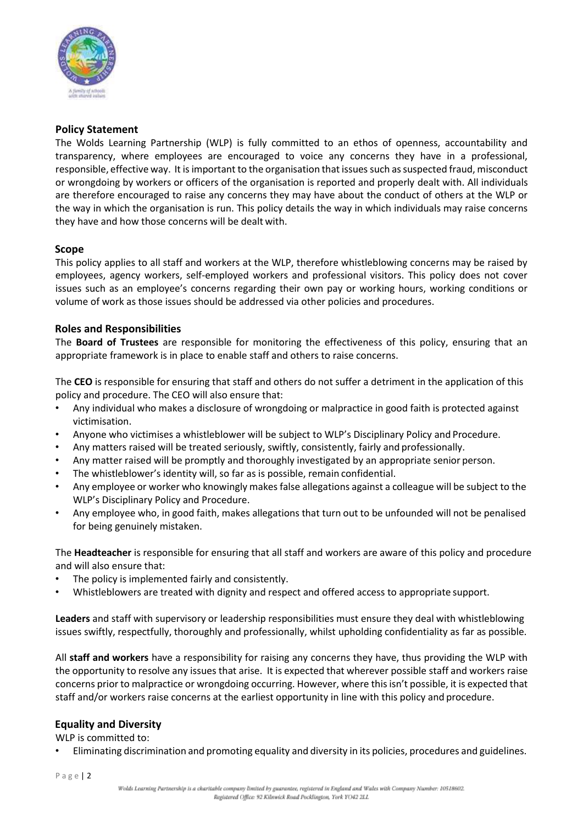

#### **Policy Statement**

The Wolds Learning Partnership (WLP) is fully committed to an ethos of openness, accountability and transparency, where employees are encouraged to voice any concerns they have in a professional, responsible, effective way. It isimportant to the organisation that issuessuch assuspected fraud, misconduct or wrongdoing by workers or officers of the organisation is reported and properly dealt with. All individuals are therefore encouraged to raise any concerns they may have about the conduct of others at the WLP or the way in which the organisation is run. This policy details the way in which individuals may raise concerns they have and how those concerns will be dealt with.

#### **Scope**

This policy applies to all staff and workers at the WLP, therefore whistleblowing concerns may be raised by employees, agency workers, self-employed workers and professional visitors. This policy does not cover issues such as an employee's concerns regarding their own pay or working hours, working conditions or volume of work as those issues should be addressed via other policies and procedures.

#### **Roles and Responsibilities**

The **Board of Trustees** are responsible for monitoring the effectiveness of this policy, ensuring that an appropriate framework is in place to enable staff and others to raise concerns.

The **CEO** is responsible for ensuring that staff and others do not suffer a detriment in the application of this policy and procedure. The CEO will also ensure that:

- Any individual who makes a disclosure of wrongdoing or malpractice in good faith is protected against victimisation.
- Anyone who victimises a whistleblower will be subject to WLP's Disciplinary Policy and Procedure.
- Any matters raised will be treated seriously, swiftly, consistently, fairly and professionally.
- Any matter raised will be promptly and thoroughly investigated by an appropriate senior person.
- The whistleblower's identity will, so far as is possible, remain confidential.
- Any employee or worker who knowingly makes false allegations against a colleague will be subject to the WLP's Disciplinary Policy and Procedure.
- Any employee who, in good faith, makes allegations that turn out to be unfounded will not be penalised for being genuinely mistaken.

The **Headteacher** is responsible for ensuring that all staff and workers are aware of this policy and procedure and will also ensure that:

- The policy is implemented fairly and consistently.
- Whistleblowers are treated with dignity and respect and offered access to appropriate support.

**Leaders** and staff with supervisory or leadership responsibilities must ensure they deal with whistleblowing issues swiftly, respectfully, thoroughly and professionally, whilst upholding confidentiality as far as possible.

All **staff and workers** have a responsibility for raising any concerns they have, thus providing the WLP with the opportunity to resolve any issues that arise. It is expected that wherever possible staff and workers raise concerns prior to malpractice or wrongdoing occurring. However, where this isn't possible, it is expected that staff and/or workers raise concerns at the earliest opportunity in line with this policy and procedure.

#### **Equality and Diversity**

WLP is committed to:

• Eliminating discrimination and promoting equality and diversity in its policies, procedures and guidelines.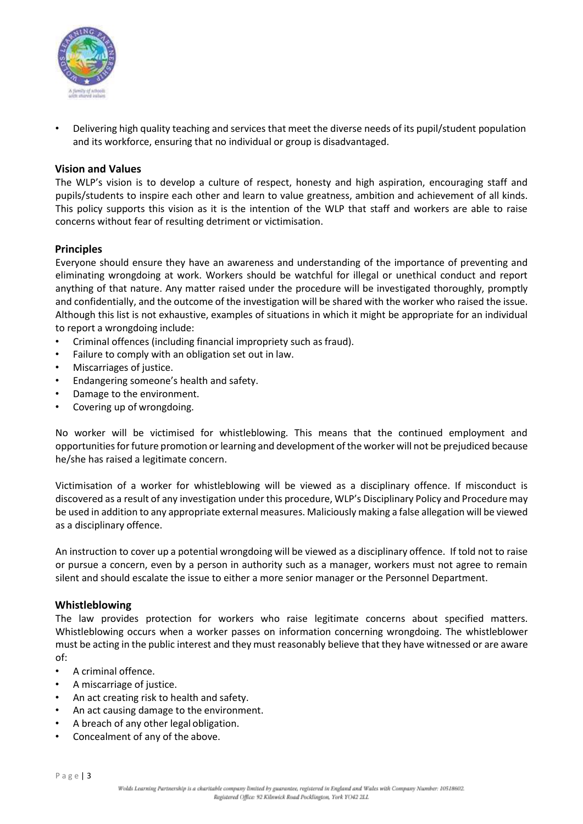

• Delivering high quality teaching and services that meet the diverse needs of its pupil/student population and its workforce, ensuring that no individual or group is disadvantaged.

#### **Vision and Values**

The WLP's vision is to develop a culture of respect, honesty and high aspiration, encouraging staff and pupils/students to inspire each other and learn to value greatness, ambition and achievement of all kinds. This policy supports this vision as it is the intention of the WLP that staff and workers are able to raise concerns without fear of resulting detriment or victimisation.

#### **Principles**

Everyone should ensure they have an awareness and understanding of the importance of preventing and eliminating wrongdoing at work. Workers should be watchful for illegal or unethical conduct and report anything of that nature. Any matter raised under the procedure will be investigated thoroughly, promptly and confidentially, and the outcome of the investigation will be shared with the worker who raised the issue. Although this list is not exhaustive, examples of situations in which it might be appropriate for an individual to report a wrongdoing include:

- Criminal offences (including financial impropriety such as fraud).
- Failure to comply with an obligation set out in law.
- Miscarriages of justice.
- Endangering someone's health and safety.
- Damage to the environment.
- Covering up of wrongdoing.

No worker will be victimised for whistleblowing. This means that the continued employment and opportunities for future promotion or learning and development of the worker will not be prejudiced because he/she has raised a legitimate concern.

Victimisation of a worker for whistleblowing will be viewed as a disciplinary offence. If misconduct is discovered as a result of any investigation under this procedure, WLP's Disciplinary Policy and Procedure may be used in addition to any appropriate external measures. Maliciously making a false allegation will be viewed as a disciplinary offence.

An instruction to cover up a potential wrongdoing will be viewed as a disciplinary offence. If told not to raise or pursue a concern, even by a person in authority such as a manager, workers must not agree to remain silent and should escalate the issue to either a more senior manager or the Personnel Department.

#### **Whistleblowing**

The law provides protection for workers who raise legitimate concerns about specified matters. Whistleblowing occurs when a worker passes on information concerning wrongdoing. The whistleblower must be acting in the public interest and they must reasonably believe that they have witnessed or are aware of:

- A criminal offence.
- A miscarriage of justice.
- An act creating risk to health and safety.
- An act causing damage to the environment.
- A breach of any other legal obligation.
- Concealment of any of the above.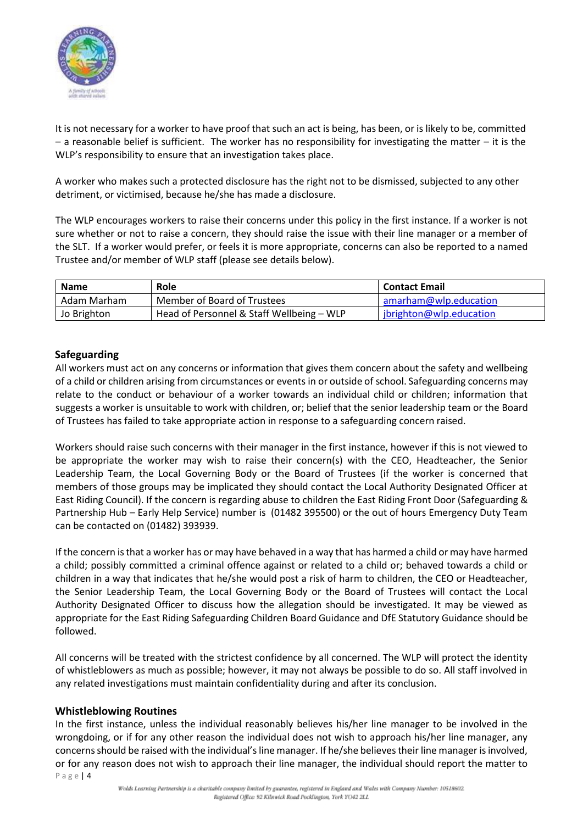

It is not necessary for a worker to have proof that such an act is being, has been, or is likely to be, committed – a reasonable belief is sufficient. The worker has no responsibility for investigating the matter – it is the WLP's responsibility to ensure that an investigation takes place.

A worker who makes such a protected disclosure has the right not to be dismissed, subjected to any other detriment, or victimised, because he/she has made a disclosure.

The WLP encourages workers to raise their concerns under this policy in the first instance. If a worker is not sure whether or not to raise a concern, they should raise the issue with their line manager or a member of the SLT. If a worker would prefer, or feels it is more appropriate, concerns can also be reported to a named Trustee and/or member of WLP staff (please see details below).

| <b>Name</b> | <b>Role</b>                               | <b>Contact Email</b>    |
|-------------|-------------------------------------------|-------------------------|
| Adam Marham | Member of Board of Trustees               | amarham@wlp.education   |
| Jo Brighton | Head of Personnel & Staff Wellbeing - WLP | jbrighton@wlp.education |

#### **Safeguarding**

All workers must act on any concerns or information that gives them concern about the safety and wellbeing of a child or children arising from circumstances or events in or outside of school. Safeguarding concerns may relate to the conduct or behaviour of a worker towards an individual child or children; information that suggests a worker is unsuitable to work with children, or; belief that the senior leadership team or the Board of Trustees has failed to take appropriate action in response to a safeguarding concern raised.

Workers should raise such concerns with their manager in the first instance, however if this is not viewed to be appropriate the worker may wish to raise their concern(s) with the CEO, Headteacher, the Senior Leadership Team, the Local Governing Body or the Board of Trustees (if the worker is concerned that members of those groups may be implicated they should contact the Local Authority Designated Officer at East Riding Council). If the concern is regarding abuse to children the East Riding Front Door (Safeguarding & Partnership Hub – Early Help Service) number is (01482 395500) or the out of hours Emergency Duty Team can be contacted on (01482) 393939.

If the concern isthat a worker has or may have behaved in a way that has harmed a child or may have harmed a child; possibly committed a criminal offence against or related to a child or; behaved towards a child or children in a way that indicates that he/she would post a risk of harm to children, the CEO or Headteacher, the Senior Leadership Team, the Local Governing Body or the Board of Trustees will contact the Local Authority Designated Officer to discuss how the allegation should be investigated. It may be viewed as appropriate for the East Riding Safeguarding Children Board Guidance and DfE Statutory Guidance should be followed.

All concerns will be treated with the strictest confidence by all concerned. The WLP will protect the identity of whistleblowers as much as possible; however, it may not always be possible to do so. All staff involved in any related investigations must maintain confidentiality during and after its conclusion.

#### **Whistleblowing Routines**

P a g e | 4 In the first instance, unless the individual reasonably believes his/her line manager to be involved in the wrongdoing, or if for any other reason the individual does not wish to approach his/her line manager, any concerns should be raised with the individual's line manager. If he/she believes their line manager is involved, or for any reason does not wish to approach their line manager, the individual should report the matter to